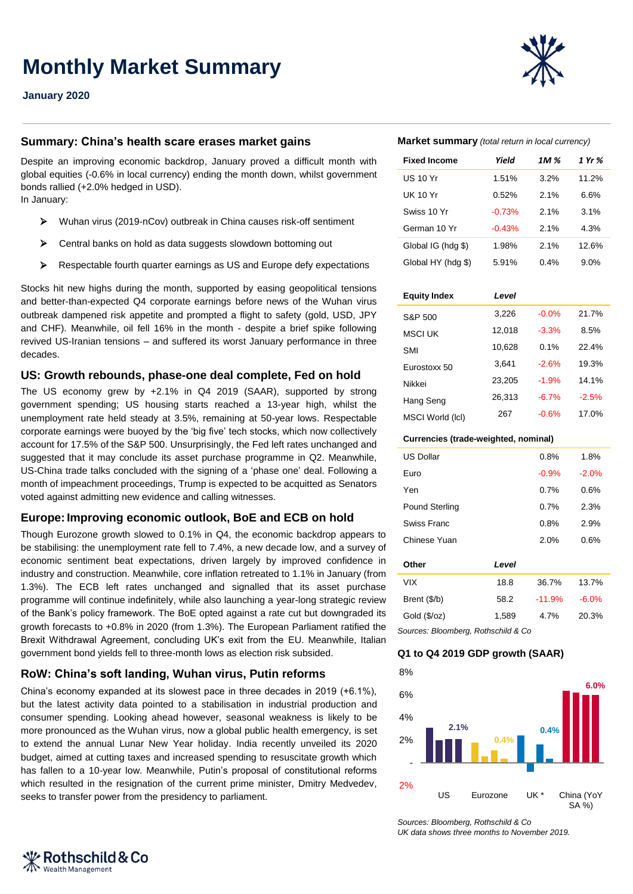**Monthly Market Summary**

**January 2020**

## **Summary: China's health scare erases market gains**

Despite an improving economic backdrop, January proved a difficult month with global equities (-0.6% in local currency) ending the month down, whilst government bonds rallied (+2.0% hedged in USD).

In January:

- Wuhan virus (2019-nCov) outbreak in China causes risk-off sentiment
- Central banks on hold as data suggests slowdown bottoming out
- Respectable fourth quarter earnings as US and Europe defy expectations

Stocks hit new highs during the month, supported by easing geopolitical tensions and better-than-expected Q4 corporate earnings before news of the Wuhan virus outbreak dampened risk appetite and prompted a flight to safety (gold, USD, JPY and CHF). Meanwhile, oil fell 16% in the month - despite a brief spike following revived US-Iranian tensions – and suffered its worst January performance in three decades.

### **US: Growth rebounds, phase-one deal complete, Fed on hold**

The US economy grew by +2.1% in Q4 2019 (SAAR), supported by strong government spending; US housing starts reached a 13-year high, whilst the unemployment rate held steady at 3.5%, remaining at 50-year lows. Respectable corporate earnings were buoyed by the 'big five' tech stocks, which now collectively account for 17.5% of the S&P 500. Unsurprisingly, the Fed left rates unchanged and suggested that it may conclude its asset purchase programme in Q2. Meanwhile, US-China trade talks concluded with the signing of a 'phase one' deal. Following a month of impeachment proceedings, Trump is expected to be acquitted as Senators voted against admitting new evidence and calling witnesses.

### **Europe:Improving economic outlook, BoE and ECB on hold**

Though Eurozone growth slowed to 0.1% in Q4, the economic backdrop appears to be stabilising: the unemployment rate fell to 7.4%, a new decade low, and a survey of economic sentiment beat expectations, driven largely by improved confidence in industry and construction. Meanwhile, core inflation retreated to 1.1% in January (from 1.3%). The ECB left rates unchanged and signalled that its asset purchase programme will continue indefinitely, while also launching a year-long strategic review of the Bank's policy framework. The BoE opted against a rate cut but downgraded its growth forecasts to +0.8% in 2020 (from 1.3%). The European Parliament ratified the Brexit Withdrawal Agreement, concluding UK's exit from the EU. Meanwhile, Italian government bond yields fell to three-month lows as election risk subsided.

## **RoW: China's soft landing, Wuhan virus, Putin reforms**

Rothschild & Co

**Wealth Management** 

China's economy expanded at its slowest pace in three decades in 2019 (+6.1%), but the latest activity data pointed to a stabilisation in industrial production and consumer spending. Looking ahead however, seasonal weakness is likely to be more pronounced as the Wuhan virus, now a global public health emergency, is set to extend the annual Lunar New Year holiday. India recently unveiled its 2020 budget, aimed at cutting taxes and increased spending to resuscitate growth which has fallen to a 10-year low. Meanwhile, Putin's proposal of constitutional reforms which resulted in the resignation of the current prime minister, Dmitry Medvedev, seeks to transfer power from the presidency to parliament.

## **Market summary** *(total return in local currency)*

| <b>Fixed Income</b> | Yield    | 1M % | 1 Yr % |
|---------------------|----------|------|--------|
| US 10 Yr            | 1.51%    | 3.2% | 11.2%  |
| UK 10 Yr            | 0.52%    | 2.1% | 6.6%   |
| Swiss 10 Yr         | $-0.73%$ | 2.1% | 3.1%   |
| German 10 Yr        | $-0.43%$ | 2.1% | 4.3%   |
| Global IG (hdg \$)  | 1.98%    | 2.1% | 12.6%  |
| Global HY (hdg \$)  | 5.91%    | 0.4% | 9.0%   |

#### **Equity Index** *Level*

| S&P 500          | 3,226  | $-0.0%$ | 21.7%   |
|------------------|--------|---------|---------|
| <b>MSCI UK</b>   | 12.018 | $-3.3%$ | 8.5%    |
| <b>SMI</b>       | 10,628 | 0.1%    | 22.4%   |
| Eurostoxx 50     | 3.641  | $-2.6%$ | 19.3%   |
| Nikkei           | 23.205 | $-1.9%$ | 14.1%   |
| Hang Seng        | 26,313 | $-6.7%$ | $-2.5%$ |
| MSCI World (IcI) | 267    | $-0.6%$ | 17.0%   |
|                  |        |         |         |

#### **Currencies (trade-weighted, nominal)**

| <b>US Dollar</b>                    |       | 0.8%     | 1.8%     |  |  |
|-------------------------------------|-------|----------|----------|--|--|
| Euro                                |       | $-0.9%$  | $-2.0%$  |  |  |
| Yen                                 |       | 0.7%     | 0.6%     |  |  |
| <b>Pound Sterling</b>               |       | 0.7%     | 2.3%     |  |  |
| Swiss Franc                         |       | 0.8%     | 2.9%     |  |  |
| Chinese Yuan                        |       | 2.0%     | 0.6%     |  |  |
| Other                               | Level |          |          |  |  |
| <b>VIX</b>                          | 18.8  | 36.7%    | 13.7%    |  |  |
| Brent (\$/b)                        | 58.2  | $-11.9%$ | $-6.0\%$ |  |  |
| Gold (\$/oz)                        | 1,589 | 4.7%     | 20.3%    |  |  |
| Sources: Bloomberg, Rothschild & Co |       |          |          |  |  |

## **Q1 to Q4 2019 GDP growth (SAAR)**



*Sources: Bloomberg, Rothschild & Co UK data shows three months to November 2019.*